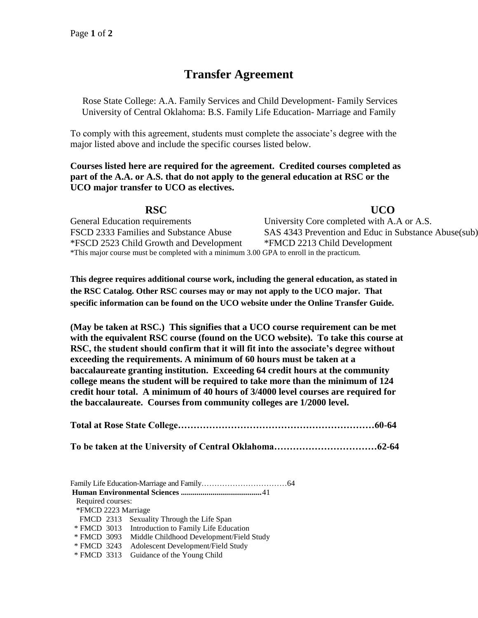# **Transfer Agreement**

Rose State College: A.A. Family Services and Child Development- Family Services University of Central Oklahoma: B.S. Family Life Education- Marriage and Family

To comply with this agreement, students must complete the associate's degree with the major listed above and include the specific courses listed below.

**Courses listed here are required for the agreement. Credited courses completed as part of the A.A. or A.S. that do not apply to the general education at RSC or the UCO major transfer to UCO as electives.**

**RSC UCO**  General Education requirements University Core completed with A.A or A.S. FSCD 2333 Families and Substance Abuse SAS 4343 Prevention and Educ in Substance Abuse(sub) \*FSCD 2523 Child Growth and Development \*FMCD 2213 Child Development \*This major course must be completed with a minimum 3.00 GPA to enroll in the practicum.

**This degree requires additional course work, including the general education, as stated in the RSC Catalog. Other RSC courses may or may not apply to the UCO major. That specific information can be found on the UCO website under the Online Transfer Guide.**

**(May be taken at RSC.) This signifies that a UCO course requirement can be met with the equivalent RSC course (found on the UCO website). To take this course at RSC, the student should confirm that it will fit into the associate's degree without exceeding the requirements. A minimum of 60 hours must be taken at a baccalaureate granting institution. Exceeding 64 credit hours at the community college means the student will be required to take more than the minimum of 124 credit hour total. A minimum of 40 hours of 3/4000 level courses are required for the baccalaureate. Courses from community colleges are 1/2000 level.**

| Required courses:   |                                                   |
|---------------------|---------------------------------------------------|
| *FMCD 2223 Marriage |                                                   |
|                     | FMCD 2313 Sexuality Through the Life Span         |
|                     | * FMCD 3013 Introduction to Family Life Education |
| * FMCD 3093         | Middle Childhood Development/Field Study          |
| * FMCD 3243         | Adolescent Development/Field Study                |
| * FMCD 3313         | Guidance of the Young Child                       |